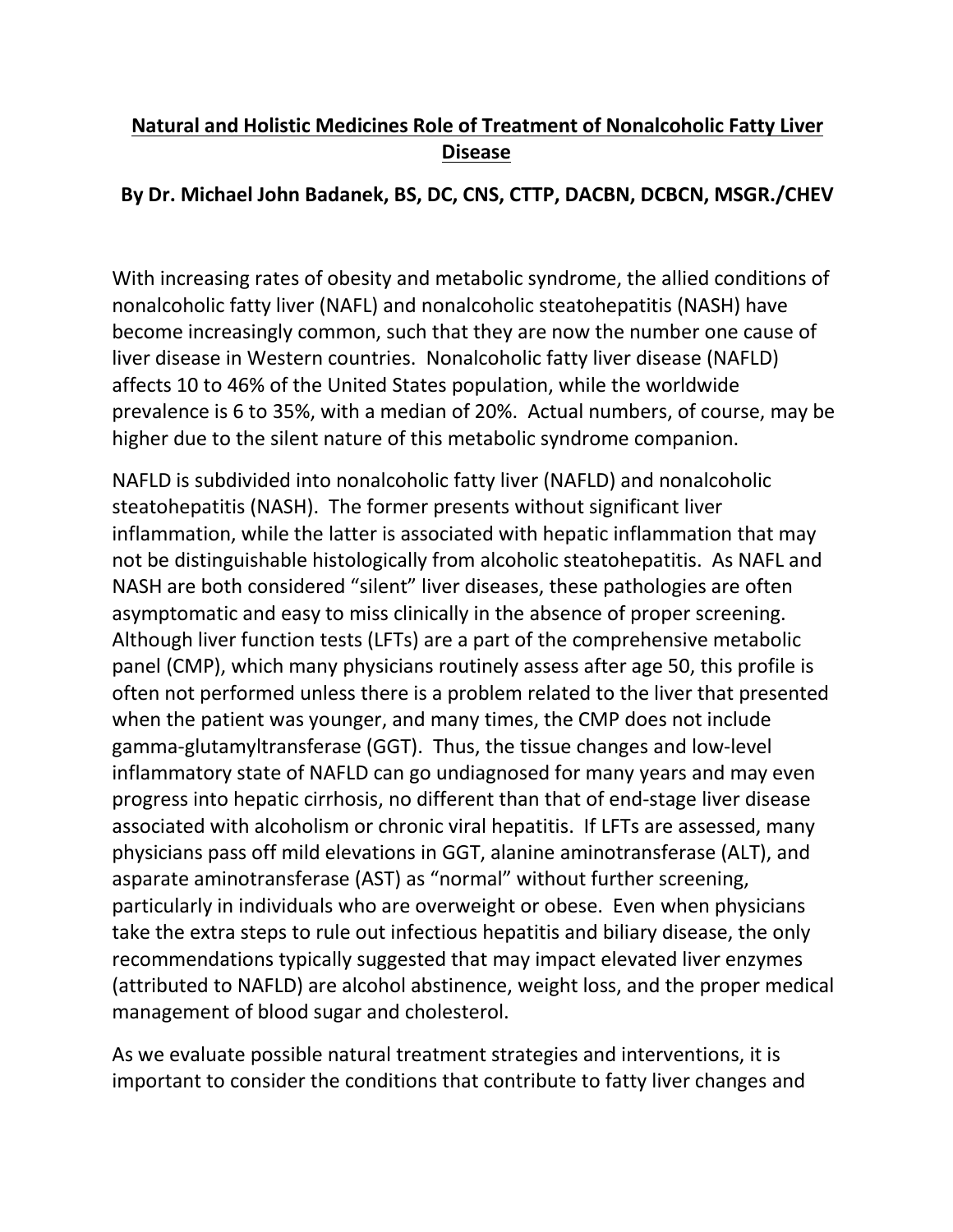## **Natural and Holistic Medicines Role of Treatment of Nonalcoholic Fatty Liver Disease**

## **By Dr. Michael John Badanek, BS, DC, CNS, CTTP, DACBN, DCBCN, MSGR./CHEV**

With increasing rates of obesity and metabolic syndrome, the allied conditions of nonalcoholic fatty liver(NAFL) and nonalcoholic steatohepatitis (NASH) have become increasingly common, such that they are now the number one cause of liver disease in Western countries. Nonalcoholic fatty liver disease (NAFLD) affects 10 to 46% of the United States population, while the worldwide prevalence is 6 to 35%, with a median of 20%. Actual numbers, of course, may be higher due to the silent nature of this metabolic syndrome companion.

NAFLD is subdivided into nonalcoholic fatty liver(NAFLD) and nonalcoholic steatohepatitis (NASH). The former presents without significant liver inflammation, while the latter is associated with hepatic inflammation that may not be distinguishable histologically from alcoholic steatohepatitis. As NAFL and NASH are both considered "silent" liver diseases, these pathologies are often asymptomatic and easy to miss clinically in the absence of proper screening. Although liver function tests (LFTs) are a part of the comprehensive metabolic panel (CMP), which many physicians routinely assess after age 50, this profile is often not performed unless there is a problem related to the liver that presented when the patient was younger, and many times, the CMP does not include gamma-glutamyltransferase (GGT). Thus, the tissue changes and low-level inflammatory state of NAFLD can go undiagnosed for many years and may even progress into hepatic cirrhosis, no different than that of end-stage liver disease associated with alcoholism or chronic viral hepatitis. If LFTs are assessed, many physicians pass off mild elevations in GGT, alanine aminotransferase (ALT), and asparate aminotransferase (AST) as "normal" without further screening, particularly in individuals who are overweight or obese. Even when physicians take the extra steps to rule out infectious hepatitis and biliary disease, the only recommendations typically suggested that may impact elevated liver enzymes (attributed to NAFLD) are alcohol abstinence, weight loss, and the proper medical management of blood sugar and cholesterol.

As we evaluate possible natural treatment strategies and interventions, it is important to consider the conditions that contribute to fatty liver changes and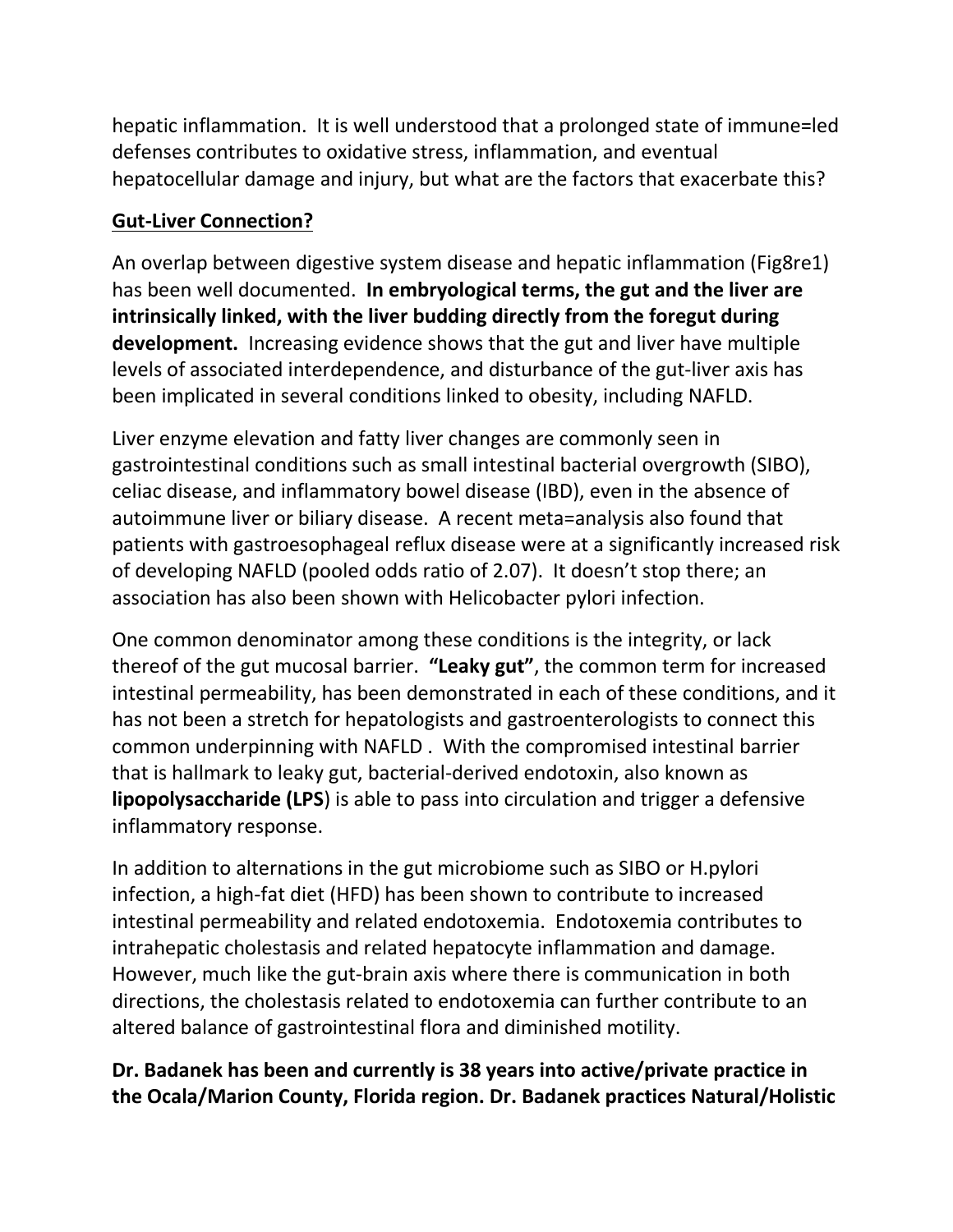hepatic inflammation. It is well understood that a prolonged state of immune=led defenses contributes to oxidative stress, inflammation, and eventual hepatocellular damage and injury, but what are the factors that exacerbate this?

## **Gut-Liver Connection?**

An overlap between digestive system disease and hepatic inflammation (Fig8re1) has been well documented. **In embryological terms, the gut and the liver are intrinsically linked, with the liver budding directly from the foregut during development.** Increasing evidence shows that the gut and liver have multiple levels of associated interdependence, and disturbance of the gut-liver axis has been implicated in several conditions linked to obesity, including NAFLD.

Liver enzyme elevation and fatty liverchanges are commonly seen in gastrointestinal conditions such as small intestinal bacterial overgrowth (SIBO), celiac disease, and inflammatory bowel disease (IBD), even in the absence of autoimmune liver or biliary disease. A recent meta=analysis also found that patients with gastroesophageal reflux disease were at a significantly increased risk of developing NAFLD (pooled odds ratio of 2.07). It doesn't stop there; an association has also been shown with Helicobacter pylori infection.

One common denominator among these conditions is the integrity, or lack thereof of the gut mucosal barrier. **"Leaky gut"**, the common term for increased intestinal permeability, has been demonstrated in each of these conditions, and it has not been a stretch for hepatologists and gastroenterologists to connect this common underpinning with NAFLD . With the compromised intestinal barrier that is hallmark to leaky gut, bacterial-derived endotoxin, also known as **lipopolysaccharide (LPS**) is able to pass into circulation and trigger a defensive inflammatory response.

In addition to alternations in the gut microbiome such as SIBO or H.pylori infection, a high-fat diet (HFD) has been shown to contribute to increased intestinal permeability and related endotoxemia. Endotoxemia contributes to intrahepatic cholestasis and related hepatocyte inflammation and damage. However, much like the gut-brain axis where there is communication in both directions, the cholestasis related to endotoxemia can further contribute to an altered balance of gastrointestinal flora and diminished motility.

## **Dr. Badanek has been and currently is 38 years into active/private practice in the Ocala/Marion County, Florida region. Dr. Badanek practices Natural/Holistic**